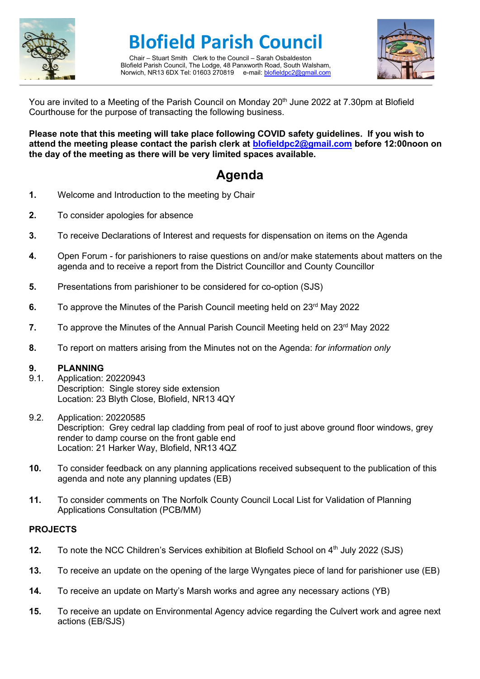

# **Blofield Parish Council**

Chair – Stuart Smith Clerk to the Council – Sarah Osbaldeston Blofield Parish Council, The Lodge, 48 Panxworth Road, South Walsham, Norwich, NR13 6DX Tel: 01603 270819 e-mail[: blofieldpc2@gmail.com](mailto:blofieldpc2@gmail.com)



You are invited to a Meeting of the Parish Council on Monday 20<sup>th</sup> June 2022 at 7.30pm at Blofield Courthouse for the purpose of transacting the following business.

**Please note that this meeting will take place following COVID safety guidelines. If you wish to attend the meeting please contact the parish clerk at [blofieldpc2@gmail.com](mailto:blofieldpc2@gmail.com) before 12:00noon on the day of the meeting as there will be very limited spaces available.** 

## **Agenda**

- **1.** Welcome and Introduction to the meeting by Chair
- **2.** To consider apologies for absence
- **3.** To receive Declarations of Interest and requests for dispensation on items on the Agenda
- **4.** Open Forum for parishioners to raise questions on and/or make statements about matters on the agenda and to receive a report from the District Councillor and County Councillor
- **5.** Presentations from parishioner to be considered for co-option (SJS)
- **6.** To approve the Minutes of the Parish Council meeting held on 23<sup>rd</sup> May 2022
- **7.** To approve the Minutes of the Annual Parish Council Meeting held on 23<sup>rd</sup> May 2022
- **8.** To report on matters arising from the Minutes not on the Agenda: *for information only*

#### **9. PLANNING**

- 9.1. Application: 20220943 Description: Single storey side extension Location: 23 Blyth Close, Blofield, NR13 4QY
- 9.2. Application: 20220585 Description: Grey cedral lap cladding from peal of roof to just above ground floor windows, grey render to damp course on the front gable end Location: 21 Harker Way, Blofield, NR13 4QZ
- **10.** To consider feedback on any planning applications received subsequent to the publication of this agenda and note any planning updates (EB)
- **11.** To consider comments on The Norfolk County Council Local List for Validation of Planning Applications Consultation (PCB/MM)

### **PROJECTS**

- **12.** To note the NCC Children's Services exhibition at Blofield School on 4<sup>th</sup> July 2022 (SJS)
- **13.** To receive an update on the opening of the large Wyngates piece of land for parishioner use (EB)
- **14.** To receive an update on Marty's Marsh works and agree any necessary actions (YB)
- **15.** To receive an update on Environmental Agency advice regarding the Culvert work and agree next actions (EB/SJS)